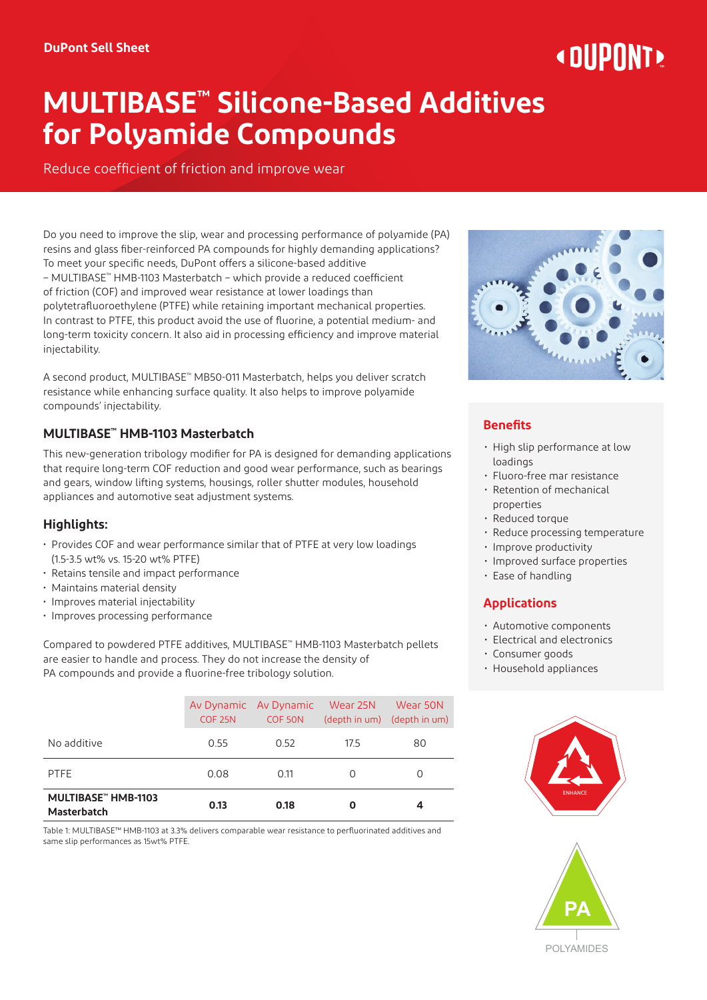# « DIIPNNT»

# **MULTIBASE™ Silicone-Based Additives for Polyamide Compounds**

Reduce coefficient of friction and improve wear

Do you need to improve the slip, wear and processing performance of polyamide (PA) resins and glass fiber-reinforced PA compounds for highly demanding applications? To meet your specific needs, DuPont offers a silicone-based additive – MULTIBASE™ HMB-1103 Masterbatch – which provide a reduced coefficient of friction (COF) and improved wear resistance at lower loadings than polytetrafluoroethylene (PTFE) while retaining important mechanical properties. In contrast to PTFE, this product avoid the use of fluorine, a potential medium- and long-term toxicity concern. It also aid in processing efficiency and improve material injectability.

A second product, MULTIBASE™ MB50-011 Masterbatch, helps you deliver scratch resistance while enhancing surface quality. It also helps to improve polyamide compounds' injectability.

# **MULTIBASE™ HMB-1103 Masterbatch**

This new-generation tribology modifier for PA is designed for demanding applications that require long-term COF reduction and good wear performance, such as bearings and gears, window lifting systems, housings, roller shutter modules, household appliances and automotive seat adjustment systems.

# **Highlights:**

- Provides COF and wear performance similar that of PTFE at very low loadings (1.5-3.5 wt% vs. 15-20 wt% PTFE)
- Retains tensile and impact performance
- Maintains material density
- Improves material injectability
- Improves processing performance

Compared to powdered PTFE additives, MULTIBASE™ HMB-1103 Masterbatch pellets are easier to handle and process. They do not increase the density of PA compounds and provide a fluorine-free tribology solution.

| MULTIBASE™ HMB-1103<br><b>Masterbatch</b> | 0.13               | 0.18                             | O         | 4                                       |
|-------------------------------------------|--------------------|----------------------------------|-----------|-----------------------------------------|
| <b>PTFE</b>                               | 0.08               | 0.11                             | $\bigcap$ | $\Omega$                                |
| No additive                               | 0.55               | 0.52                             | 17.5      | 80                                      |
|                                           | COF <sub>25N</sub> | Av Dynamic Av Dynamic<br>COF 50N | Wear 25N  | Wear 50N<br>(depth in um) (depth in um) |

Table 1: MULTIBASE™ HMB-1103 at 3.3% delivers comparable wear resistance to perfluorinated additives and same slip performances as 15wt% PTFE.



# **Benefits**

- High slip performance at low loadings
- Fluoro-free mar resistance
- Retention of mechanical properties
- Reduced torque
- Reduce processing temperature
- Improve productivity
- Improved surface properties
- Ease of handling

# **Applications**

- Automotive components
- Electrical and electronics
- Consumer goods
- Household appliances